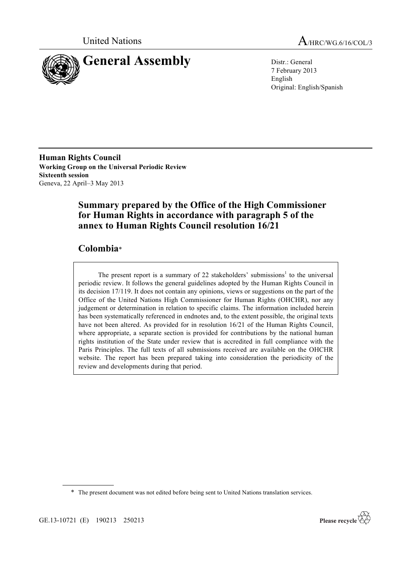

United Nations A/HRC/WG.6/16/COL/3

7 February 2013 English Original: English/Spanish

**Human Rights Council Working Group on the Universal Periodic Review Sixteenth session** Geneva, 22 April–3 May 2013

# **Summary prepared by the Office of the High Commissioner for Human Rights in accordance with paragraph 5 of the annex to Human Rights Council resolution 16/21**

# **Colombia**\*

The present report is a summary of 22 stakeholders' submissions<sup>1</sup> to the universal periodic review. It follows the general guidelines adopted by the Human Rights Council in its decision 17/119. It does not contain any opinions, views or suggestions on the part of the Office of the United Nations High Commissioner for Human Rights (OHCHR), nor any judgement or determination in relation to specific claims. The information included herein has been systematically referenced in endnotes and, to the extent possible, the original texts have not been altered. As provided for in resolution 16/21 of the Human Rights Council, where appropriate, a separate section is provided for contributions by the national human rights institution of the State under review that is accredited in full compliance with the Paris Principles. The full texts of all submissions received are available on the OHCHR website. The report has been prepared taking into consideration the periodicity of the review and developments during that period.

\* The present document was not edited before being sent to United Nations translation services.

GE.13-10721 (E) 190213 250213

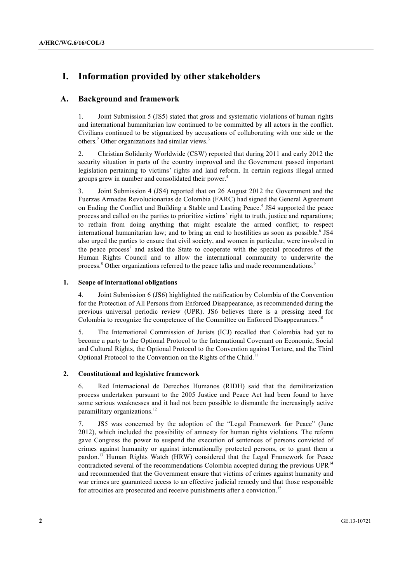# **I. Information provided by other stakeholders**

# **A. Background and framework**

1. Joint Submission 5 (JS5) stated that gross and systematic violations of human rights and international humanitarian law continued to be committed by all actors in the conflict. Civilians continued to be stigmatized by accusations of collaborating with one side or the others.2 Other organizations had similar views.<sup>3</sup>

2. Christian Solidarity Worldwide (CSW) reported that during 2011 and early 2012 the security situation in parts of the country improved and the Government passed important legislation pertaining to victims' rights and land reform. In certain regions illegal armed groups grew in number and consolidated their power.<sup>4</sup>

3. Joint Submission 4 (JS4) reported that on 26 August 2012 the Government and the Fuerzas Armadas Revolucionarias de Colombia (FARC) had signed the General Agreement on Ending the Conflict and Building a Stable and Lasting Peace.<sup>5</sup> JS4 supported the peace process and called on the parties to prioritize victims' right to truth, justice and reparations; to refrain from doing anything that might escalate the armed conflict; to respect international humanitarian law; and to bring an end to hostilities as soon as possible.<sup>6</sup> JS4 also urged the parties to ensure that civil society, and women in particular, were involved in the peace process<sup>7</sup> and asked the State to cooperate with the special procedures of the Human Rights Council and to allow the international community to underwrite the process.<sup>8</sup> Other organizations referred to the peace talks and made recommendations.<sup>9</sup>

## **1. Scope of international obligations**

4. Joint Submission 6 (JS6) highlighted the ratification by Colombia of the Convention for the Protection of All Persons from Enforced Disappearance, as recommended during the previous universal periodic review (UPR). JS6 believes there is a pressing need for Colombia to recognize the competence of the Committee on Enforced Disappearances.<sup>10</sup>

5. The International Commission of Jurists (ICJ) recalled that Colombia had yet to become a party to the Optional Protocol to the International Covenant on Economic, Social and Cultural Rights, the Optional Protocol to the Convention against Torture, and the Third Optional Protocol to the Convention on the Rights of the Child.<sup>11</sup>

## **2. Constitutional and legislative framework**

6. Red Internacional de Derechos Humanos (RIDH) said that the demilitarization process undertaken pursuant to the 2005 Justice and Peace Act had been found to have some serious weaknesses and it had not been possible to dismantle the increasingly active paramilitary organizations.<sup>12</sup>

7. JS5 was concerned by the adoption of the "Legal Framework for Peace" (June 2012), which included the possibility of amnesty for human rights violations. The reform gave Congress the power to suspend the execution of sentences of persons convicted of crimes against humanity or against internationally protected persons, or to grant them a pardon.13 Human Rights Watch (HRW) considered that the Legal Framework for Peace contradicted several of the recommendations Colombia accepted during the previous UPR<sup>14</sup> and recommended that the Government ensure that victims of crimes against humanity and war crimes are guaranteed access to an effective judicial remedy and that those responsible for atrocities are prosecuted and receive punishments after a conviction.<sup>15</sup>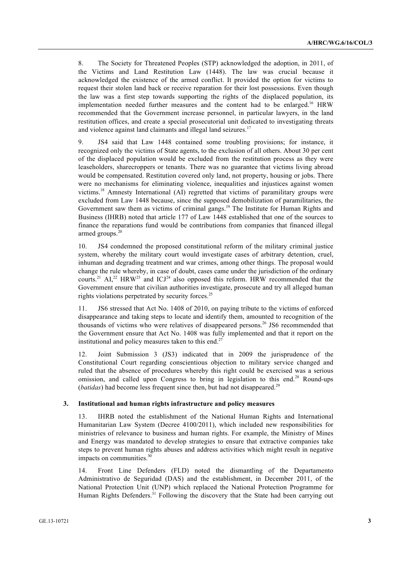8. The Society for Threatened Peoples (STP) acknowledged the adoption, in 2011, of the Victims and Land Restitution Law (1448). The law was crucial because it acknowledged the existence of the armed conflict. It provided the option for victims to request their stolen land back or receive reparation for their lost possessions. Even though the law was a first step towards supporting the rights of the displaced population, its implementation needed further measures and the content had to be enlarged.<sup>16</sup> HRW recommended that the Government increase personnel, in particular lawyers, in the land restitution offices, and create a special prosecutorial unit dedicated to investigating threats and violence against land claimants and illegal land seizures.<sup>17</sup>

9. JS4 said that Law 1448 contained some troubling provisions; for instance, it recognized only the victims of State agents, to the exclusion of all others. About 30 per cent of the displaced population would be excluded from the restitution process as they were leaseholders, sharecroppers or tenants. There was no guarantee that victims living abroad would be compensated. Restitution covered only land, not property, housing or jobs. There were no mechanisms for eliminating violence, inequalities and injustices against women victims.18 Amnesty International (AI) regretted that victims of paramilitary groups were excluded from Law 1448 because, since the supposed demobilization of paramilitaries, the Government saw them as victims of criminal gangs.<sup>19</sup> The Institute for Human Rights and Business (IHRB) noted that article 177 of Law 1448 established that one of the sources to finance the reparations fund would be contributions from companies that financed illegal armed groups. $20$ 

10. JS4 condemned the proposed constitutional reform of the military criminal justice system, whereby the military court would investigate cases of arbitrary detention, cruel, inhuman and degrading treatment and war crimes, among other things. The proposal would change the rule whereby, in case of doubt, cases came under the jurisdiction of the ordinary courts.<sup>21</sup> AI,<sup>22</sup> HRW<sup>23</sup> and ICJ<sup>24</sup> also opposed this reform. HRW recommended that the Government ensure that civilian authorities investigate, prosecute and try all alleged human rights violations perpetrated by security forces.<sup>25</sup>

11. JS6 stressed that Act No. 1408 of 2010, on paying tribute to the victims of enforced disappearance and taking steps to locate and identify them, amounted to recognition of the thousands of victims who were relatives of disappeared persons.<sup>26</sup> JS6 recommended that the Government ensure that Act No. 1408 was fully implemented and that it report on the institutional and policy measures taken to this end.<sup>27</sup>

12. Joint Submission 3 (JS3) indicated that in 2009 the jurisprudence of the Constitutional Court regarding conscientious objection to military service changed and ruled that the absence of procedures whereby this right could be exercised was a serious omission, and called upon Congress to bring in legislation to this end.<sup>28</sup> Round-ups (*batidas*) had become less frequent since then, but had not disappeared.<sup>29</sup>

#### **3. Institutional and human rights infrastructure and policy measures**

13. IHRB noted the establishment of the National Human Rights and International Humanitarian Law System (Decree 4100/2011), which included new responsibilities for ministries of relevance to business and human rights. For example, the Ministry of Mines and Energy was mandated to develop strategies to ensure that extractive companies take steps to prevent human rights abuses and address activities which might result in negative impacts on communities.<sup>30</sup>

14. Front Line Defenders (FLD) noted the dismantling of the Departamento Administrativo de Seguridad (DAS) and the establishment, in December 2011, of the National Protection Unit (UNP) which replaced the National Protection Programme for Human Rights Defenders.<sup>31</sup> Following the discovery that the State had been carrying out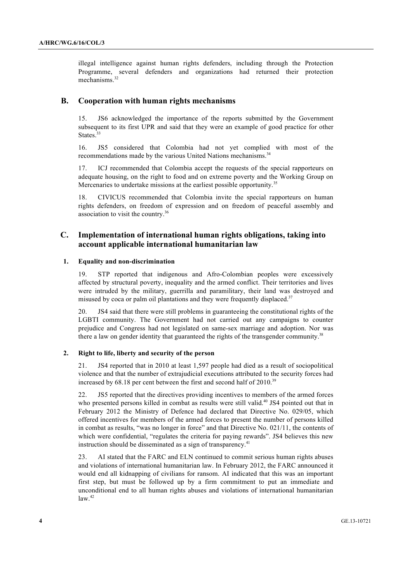illegal intelligence against human rights defenders, including through the Protection Programme, several defenders and organizations had returned their protection mechanisms<sup>32</sup>

# **B. Cooperation with human rights mechanisms**

15. JS6 acknowledged the importance of the reports submitted by the Government subsequent to its first UPR and said that they were an example of good practice for other States.<sup>33</sup>

16. JS5 considered that Colombia had not yet complied with most of the recommendations made by the various United Nations mechanisms.<sup>34</sup>

17. ICJ recommended that Colombia accept the requests of the special rapporteurs on adequate housing, on the right to food and on extreme poverty and the Working Group on Mercenaries to undertake missions at the earliest possible opportunity.<sup>35</sup>

18. CIVICUS recommended that Colombia invite the special rapporteurs on human rights defenders, on freedom of expression and on freedom of peaceful assembly and association to visit the country.<sup>36</sup>

# **C. Implementation of international human rights obligations, taking into account applicable international humanitarian law**

### **1. Equality and non-discrimination**

19. STP reported that indigenous and Afro-Colombian peoples were excessively affected by structural poverty, inequality and the armed conflict. Their territories and lives were intruded by the military, guerrilla and paramilitary, their land was destroyed and misused by coca or palm oil plantations and they were frequently displaced.<sup>37</sup>

20. JS4 said that there were still problems in guaranteeing the constitutional rights of the LGBTI community. The Government had not carried out any campaigns to counter prejudice and Congress had not legislated on same-sex marriage and adoption. Nor was there a law on gender identity that guaranteed the rights of the transgender community.<sup>38</sup>

## **2. Right to life, liberty and security of the person**

21. JS4 reported that in 2010 at least 1,597 people had died as a result of sociopolitical violence and that the number of extrajudicial executions attributed to the security forces had increased by 68.18 per cent between the first and second half of 2010.<sup>39</sup>

22. JS5 reported that the directives providing incentives to members of the armed forces who presented persons killed in combat as results were still valid.<sup>40</sup> JS4 pointed out that in February 2012 the Ministry of Defence had declared that Directive No. 029/05, which offered incentives for members of the armed forces to present the number of persons killed in combat as results, "was no longer in force" and that Directive No. 021/11, the contents of which were confidential, "regulates the criteria for paying rewards". JS4 believes this new instruction should be disseminated as a sign of transparency.<sup>41</sup>

23. AI stated that the FARC and ELN continued to commit serious human rights abuses and violations of international humanitarian law. In February 2012, the FARC announced it would end all kidnapping of civilians for ransom. AI indicated that this was an important first step, but must be followed up by a firm commitment to put an immediate and unconditional end to all human rights abuses and violations of international humanitarian  $law<sup>42</sup>$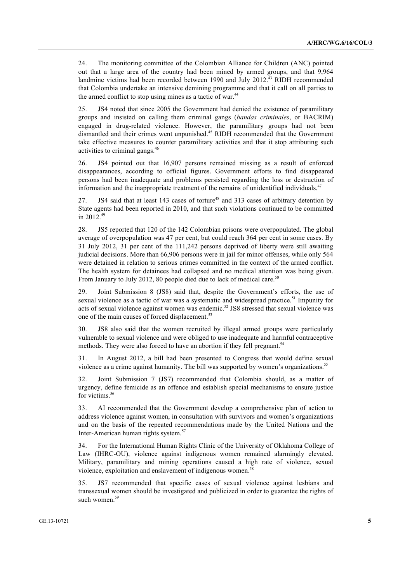24. The monitoring committee of the Colombian Alliance for Children (ANC) pointed out that a large area of the country had been mined by armed groups, and that 9,964 landmine victims had been recorded between 1990 and July 2012.<sup>43</sup> RIDH recommended that Colombia undertake an intensive demining programme and that it call on all parties to the armed conflict to stop using mines as a tactic of war.<sup>44</sup>

25. JS4 noted that since 2005 the Government had denied the existence of paramilitary groups and insisted on calling them criminal gangs (*bandas criminales*, or BACRIM) engaged in drug-related violence. However, the paramilitary groups had not been dismantled and their crimes went unpunished.<sup>45</sup> RIDH recommended that the Government take effective measures to counter paramilitary activities and that it stop attributing such activities to criminal gangs.<sup>46</sup>

26. JS4 pointed out that 16,907 persons remained missing as a result of enforced disappearances, according to official figures. Government efforts to find disappeared persons had been inadequate and problems persisted regarding the loss or destruction of information and the inappropriate treatment of the remains of unidentified individuals.47

27. JS4 said that at least 143 cases of torture<sup>48</sup> and 313 cases of arbitrary detention by State agents had been reported in 2010, and that such violations continued to be committed in 2012.<sup>49</sup>

28. JS5 reported that 120 of the 142 Colombian prisons were overpopulated. The global average of overpopulation was 47 per cent, but could reach 364 per cent in some cases. By 31 July 2012, 31 per cent of the 111,242 persons deprived of liberty were still awaiting judicial decisions. More than 66,906 persons were in jail for minor offenses, while only 564 were detained in relation to serious crimes committed in the context of the armed conflict. The health system for detainees had collapsed and no medical attention was being given. From January to July 2012, 80 people died due to lack of medical care.<sup>50</sup>

29. Joint Submission 8 (JS8) said that, despite the Government's efforts, the use of sexual violence as a tactic of war was a systematic and widespread practice.<sup>51</sup> Impunity for acts of sexual violence against women was endemic.<sup>52</sup> JS8 stressed that sexual violence was one of the main causes of forced displacement.<sup>53</sup>

30. JS8 also said that the women recruited by illegal armed groups were particularly vulnerable to sexual violence and were obliged to use inadequate and harmful contraceptive methods. They were also forced to have an abortion if they fell pregnant.<sup>54</sup>

31. In August 2012, a bill had been presented to Congress that would define sexual violence as a crime against humanity. The bill was supported by women's organizations.<sup>55</sup>

32. Joint Submission 7 (JS7) recommended that Colombia should, as a matter of urgency, define femicide as an offence and establish special mechanisms to ensure justice for victims.<sup>56</sup>

33. AI recommended that the Government develop a comprehensive plan of action to address violence against women, in consultation with survivors and women's organizations and on the basis of the repeated recommendations made by the United Nations and the Inter-American human rights system.<sup>57</sup>

34. For the International Human Rights Clinic of the University of Oklahoma College of Law (IHRC-OU), violence against indigenous women remained alarmingly elevated. Military, paramilitary and mining operations caused a high rate of violence, sexual violence, exploitation and enslavement of indigenous women.<sup>5</sup>

35. JS7 recommended that specific cases of sexual violence against lesbians and transsexual women should be investigated and publicized in order to guarantee the rights of such women.<sup>59</sup>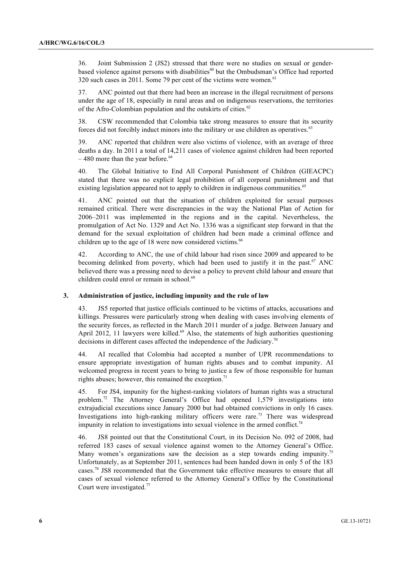36. Joint Submission 2 (JS2) stressed that there were no studies on sexual or genderbased violence against persons with disabilities<sup>60</sup> but the Ombudsman's Office had reported  $320$  such cases in 2011. Some 79 per cent of the victims were women.<sup>61</sup>

37. ANC pointed out that there had been an increase in the illegal recruitment of persons under the age of 18, especially in rural areas and on indigenous reservations, the territories of the Afro-Colombian population and the outskirts of cities.<sup>62</sup>

38. CSW recommended that Colombia take strong measures to ensure that its security forces did not forcibly induct minors into the military or use children as operatives.<sup>63</sup>

39. ANC reported that children were also victims of violence, with an average of three deaths a day. In 2011 a total of 14,211 cases of violence against children had been reported  $-480$  more than the year before.<sup>64</sup>

40. The Global Initiative to End All Corporal Punishment of Children (GIEACPC) stated that there was no explicit legal prohibition of all corporal punishment and that existing legislation appeared not to apply to children in indigenous communities.<sup>65</sup>

41. ANC pointed out that the situation of children exploited for sexual purposes remained critical. There were discrepancies in the way the National Plan of Action for 2006–2011 was implemented in the regions and in the capital. Nevertheless, the promulgation of Act No. 1329 and Act No. 1336 was a significant step forward in that the demand for the sexual exploitation of children had been made a criminal offence and children up to the age of 18 were now considered victims.<sup>66</sup>

42. According to ANC, the use of child labour had risen since 2009 and appeared to be becoming delinked from poverty, which had been used to justify it in the past.<sup>67</sup> ANC believed there was a pressing need to devise a policy to prevent child labour and ensure that children could enrol or remain in school.<sup>68</sup>

#### **3. Administration of justice, including impunity and the rule of law**

43. JS5 reported that justice officials continued to be victims of attacks, accusations and killings. Pressures were particularly strong when dealing with cases involving elements of the security forces, as reflected in the March 2011 murder of a judge. Between January and April 2012, 11 lawyers were killed.<sup>69</sup> Also, the statements of high authorities questioning decisions in different cases affected the independence of the Judiciary.<sup>70</sup>

44. AI recalled that Colombia had accepted a number of UPR recommendations to ensure appropriate investigation of human rights abuses and to combat impunity. AI welcomed progress in recent years to bring to justice a few of those responsible for human rights abuses; however, this remained the exception.<sup>71</sup>

45. For JS4, impunity for the highest-ranking violators of human rights was a structural problem.<sup>72</sup> The Attorney General's Office had opened 1,579 investigations into extrajudicial executions since January 2000 but had obtained convictions in only 16 cases. Investigations into high-ranking military officers were rare.<sup>73</sup> There was widespread impunity in relation to investigations into sexual violence in the armed conflict.<sup>74</sup>

46. JS8 pointed out that the Constitutional Court, in its Decision No. 092 of 2008, had referred 183 cases of sexual violence against women to the Attorney General's Office. Many women's organizations saw the decision as a step towards ending impunity.<sup>75</sup> Unfortunately, as at September 2011, sentences had been handed down in only 5 of the 183 cases.<sup>76</sup> JS8 recommended that the Government take effective measures to ensure that all cases of sexual violence referred to the Attorney General's Office by the Constitutional Court were investigated.<sup>77</sup>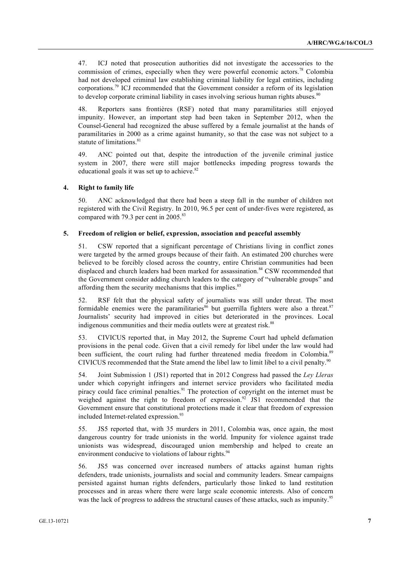47. ICJ noted that prosecution authorities did not investigate the accessories to the commission of crimes, especially when they were powerful economic actors.<sup>78</sup> Colombia had not developed criminal law establishing criminal liability for legal entities, including corporations.<sup>79</sup> ICJ recommended that the Government consider a reform of its legislation to develop corporate criminal liability in cases involving serious human rights abuses.<sup>80</sup>

48. Reporters sans frontières (RSF) noted that many paramilitaries still enjoyed impunity. However, an important step had been taken in September 2012, when the Counsel-General had recognized the abuse suffered by a female journalist at the hands of paramilitaries in 2000 as a crime against humanity, so that the case was not subject to a statute of limitations $81$ 

49. ANC pointed out that, despite the introduction of the juvenile criminal justice system in 2007, there were still major bottlenecks impeding progress towards the educational goals it was set up to achieve.<sup>82</sup>

### **4. Right to family life**

50. ANC acknowledged that there had been a steep fall in the number of children not registered with the Civil Registry. In 2010, 96.5 per cent of under-fives were registered, as compared with 79.3 per cent in  $2005$ .<sup>83</sup>

#### **5. Freedom of religion or belief, expression, association and peaceful assembly**

51. CSW reported that a significant percentage of Christians living in conflict zones were targeted by the armed groups because of their faith. An estimated 200 churches were believed to be forcibly closed across the country, entire Christian communities had been displaced and church leaders had been marked for assassination.<sup>84</sup> CSW recommended that the Government consider adding church leaders to the category of "vulnerable groups" and affording them the security mechanisms that this implies.<sup>85</sup>

52. RSF felt that the physical safety of journalists was still under threat. The most formidable enemies were the paramilitaries<sup>86</sup> but guerrilla fighters were also a threat.<sup>87</sup> Journalists' security had improved in cities but deteriorated in the provinces. Local indigenous communities and their media outlets were at greatest risk.<sup>88</sup>

53. CIVICUS reported that, in May 2012, the Supreme Court had upheld defamation provisions in the penal code. Given that a civil remedy for libel under the law would had been sufficient, the court ruling had further threatened media freedom in Colombia.<sup>89</sup> CIVICUS recommended that the State amend the libel law to limit libel to a civil penalty.<sup>90</sup>

54. Joint Submission 1 (JS1) reported that in 2012 Congress had passed the *Ley Lleras* under which copyright infringers and internet service providers who facilitated media piracy could face criminal penalties.<sup>91</sup> The protection of copyright on the internet must be weighed against the right to freedom of expression.<sup>92</sup> JS1 recommended that the Government ensure that constitutional protections made it clear that freedom of expression included Internet-related expression.<sup>93</sup>

55. JS5 reported that, with 35 murders in 2011, Colombia was, once again, the most dangerous country for trade unionists in the world. Impunity for violence against trade unionists was widespread, discouraged union membership and helped to create an environment conducive to violations of labour rights.<sup>94</sup>

56. JS5 was concerned over increased numbers of attacks against human rights defenders, trade unionists, journalists and social and community leaders. Smear campaigns persisted against human rights defenders, particularly those linked to land restitution processes and in areas where there were large scale economic interests. Also of concern was the lack of progress to address the structural causes of these attacks, such as impunity.<sup>95</sup>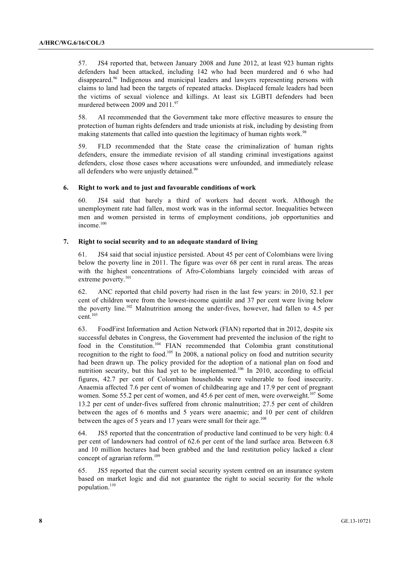57. JS4 reported that, between January 2008 and June 2012, at least 923 human rights defenders had been attacked, including 142 who had been murdered and 6 who had disappeared.<sup>96</sup> Indigenous and municipal leaders and lawyers representing persons with claims to land had been the targets of repeated attacks. Displaced female leaders had been the victims of sexual violence and killings. At least six LGBTI defenders had been murdered between 2009 and  $2011<sup>97</sup>$ 

58. AI recommended that the Government take more effective measures to ensure the protection of human rights defenders and trade unionists at risk, including by desisting from making statements that called into question the legitimacy of human rights work.<sup>98</sup>

59. FLD recommended that the State cease the criminalization of human rights defenders, ensure the immediate revision of all standing criminal investigations against defenders, close those cases where accusations were unfounded, and immediately release all defenders who were unjustly detained.<sup>99</sup>

#### **6. Right to work and to just and favourable conditions of work**

60. JS4 said that barely a third of workers had decent work. Although the unemployment rate had fallen, most work was in the informal sector. Inequalities between men and women persisted in terms of employment conditions, job opportunities and income.<sup>100</sup>

#### **7. Right to social security and to an adequate standard of living**

61. JS4 said that social injustice persisted. About 45 per cent of Colombians were living below the poverty line in 2011. The figure was over 68 per cent in rural areas. The areas with the highest concentrations of Afro-Colombians largely coincided with areas of extreme poverty.<sup>101</sup>

62. ANC reported that child poverty had risen in the last few years: in 2010, 52.1 per cent of children were from the lowest-income quintile and 37 per cent were living below the poverty line.<sup>102</sup> Malnutrition among the under-fives, however, had fallen to 4.5 per cent.<sup>103</sup>

63. FoodFirst Information and Action Network (FIAN) reported that in 2012, despite six successful debates in Congress, the Government had prevented the inclusion of the right to food in the Constitution.<sup>104</sup> FIAN recommended that Colombia grant constitutional recognition to the right to food.<sup>105</sup> In 2008, a national policy on food and nutrition security had been drawn up. The policy provided for the adoption of a national plan on food and nutrition security, but this had yet to be implemented.<sup>106</sup> In 2010, according to official figures, 42.7 per cent of Colombian households were vulnerable to food insecurity. Anaemia affected 7.6 per cent of women of childbearing age and 17.9 per cent of pregnant women. Some 55.2 per cent of women, and 45.6 per cent of men, were overweight.<sup>107</sup> Some 13.2 per cent of under-fives suffered from chronic malnutrition; 27.5 per cent of children between the ages of 6 months and 5 years were anaemic; and 10 per cent of children between the ages of 5 years and 17 years were small for their age.<sup>108</sup>

64. JS5 reported that the concentration of productive land continued to be very high: 0.4 per cent of landowners had control of 62.6 per cent of the land surface area. Between 6.8 and 10 million hectares had been grabbed and the land restitution policy lacked a clear concept of agrarian reform.<sup>109</sup>

65. JS5 reported that the current social security system centred on an insurance system based on market logic and did not guarantee the right to social security for the whole population.<sup>110</sup>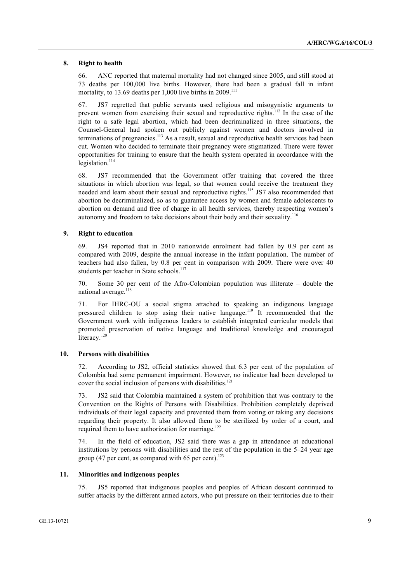### **8. Right to health**

66. ANC reported that maternal mortality had not changed since 2005, and still stood at 73 deaths per 100,000 live births. However, there had been a gradual fall in infant mortality, to 13.69 deaths per  $1,000$  live births in 2009.<sup>111</sup>

67. JS7 regretted that public servants used religious and misogynistic arguments to prevent women from exercising their sexual and reproductive rights.<sup>112</sup> In the case of the right to a safe legal abortion, which had been decriminalized in three situations, the Counsel-General had spoken out publicly against women and doctors involved in terminations of pregnancies. $113$  As a result, sexual and reproductive health services had been cut. Women who decided to terminate their pregnancy were stigmatized. There were fewer opportunities for training to ensure that the health system operated in accordance with the legislation.<sup>114</sup>

68. JS7 recommended that the Government offer training that covered the three situations in which abortion was legal, so that women could receive the treatment they needed and learn about their sexual and reproductive rights.<sup>115</sup> JS7 also recommended that abortion be decriminalized, so as to guarantee access by women and female adolescents to abortion on demand and free of charge in all health services, thereby respecting women's autonomy and freedom to take decisions about their body and their sexuality.<sup>116</sup>

### **9. Right to education**

69. JS4 reported that in 2010 nationwide enrolment had fallen by 0.9 per cent as compared with 2009, despite the annual increase in the infant population. The number of teachers had also fallen, by 0.8 per cent in comparison with 2009. There were over 40 students per teacher in State schools.<sup>117</sup>

70. Some 30 per cent of the Afro-Colombian population was illiterate – double the national average.<sup>118</sup>

71. For IHRC-OU a social stigma attached to speaking an indigenous language pressured children to stop using their native language.<sup>119</sup> It recommended that the Government work with indigenous leaders to establish integrated curricular models that promoted preservation of native language and traditional knowledge and encouraged literacy.<sup>120</sup>

#### **10. Persons with disabilities**

72. According to JS2, official statistics showed that 6.3 per cent of the population of Colombia had some permanent impairment. However, no indicator had been developed to cover the social inclusion of persons with disabilities.<sup>121</sup>

73. JS2 said that Colombia maintained a system of prohibition that was contrary to the Convention on the Rights of Persons with Disabilities. Prohibition completely deprived individuals of their legal capacity and prevented them from voting or taking any decisions regarding their property. It also allowed them to be sterilized by order of a court, and required them to have authorization for marriage.<sup>122</sup>

74. In the field of education, JS2 said there was a gap in attendance at educational institutions by persons with disabilities and the rest of the population in the 5–24 year age group (47 per cent, as compared with 65 per cent).<sup>123</sup>

## **11. Minorities and indigenous peoples**

75. JS5 reported that indigenous peoples and peoples of African descent continued to suffer attacks by the different armed actors, who put pressure on their territories due to their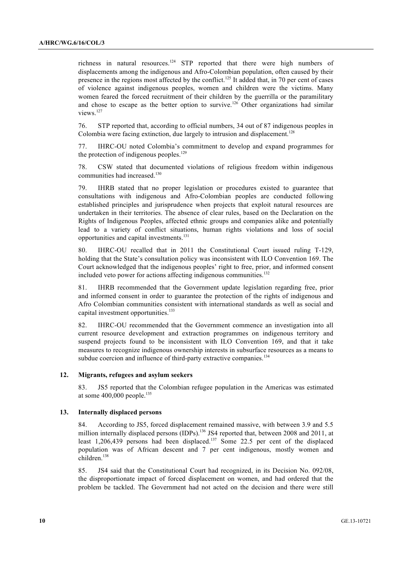richness in natural resources.<sup>124</sup> STP reported that there were high numbers of displacements among the indigenous and Afro-Colombian population, often caused by their presence in the regions most affected by the conflict.<sup>125</sup> It added that, in 70 per cent of cases of violence against indigenous peoples, women and children were the victims. Many women feared the forced recruitment of their children by the guerrilla or the paramilitary and chose to escape as the better option to survive.<sup>126</sup> Other organizations had similar views<sup>127</sup>

76. STP reported that, according to official numbers, 34 out of 87 indigenous peoples in Colombia were facing extinction, due largely to intrusion and displacement.<sup>128</sup>

77. IHRC-OU noted Colombia's commitment to develop and expand programmes for the protection of indigenous peoples.<sup>129</sup>

78. CSW stated that documented violations of religious freedom within indigenous communities had increased.<sup>130</sup>

79. IHRB stated that no proper legislation or procedures existed to guarantee that consultations with indigenous and Afro-Colombian peoples are conducted following established principles and jurisprudence when projects that exploit natural resources are undertaken in their territories. The absence of clear rules, based on the Declaration on the Rights of Indigenous Peoples, affected ethnic groups and companies alike and potentially lead to a variety of conflict situations, human rights violations and loss of social opportunities and capital investments.<sup>131</sup>

80. IHRC-OU recalled that in 2011 the Constitutional Court issued ruling T-129, holding that the State's consultation policy was inconsistent with ILO Convention 169. The Court acknowledged that the indigenous peoples' right to free, prior, and informed consent included veto power for actions affecting indigenous communities.<sup>132</sup>

81. IHRB recommended that the Government update legislation regarding free, prior and informed consent in order to guarantee the protection of the rights of indigenous and Afro Colombian communities consistent with international standards as well as social and capital investment opportunities.<sup>133</sup>

82. IHRC-OU recommended that the Government commence an investigation into all current resource development and extraction programmes on indigenous territory and suspend projects found to be inconsistent with ILO Convention 169, and that it take measures to recognize indigenous ownership interests in subsurface resources as a means to subdue coercion and influence of third-party extractive companies.<sup>134</sup>

#### **12. Migrants, refugees and asylum seekers**

83. JS5 reported that the Colombian refugee population in the Americas was estimated at some  $400,000$  people.<sup>135</sup>

#### **13. Internally displaced persons**

84. According to JS5, forced displacement remained massive, with between 3.9 and 5.5 million internally displaced persons (IDPs).<sup>136</sup> JS4 reported that, between 2008 and 2011, at least 1,206,439 persons had been displaced.<sup>137</sup> Some 22.5 per cent of the displaced population was of African descent and 7 per cent indigenous, mostly women and children.<sup>138</sup>

85. JS4 said that the Constitutional Court had recognized, in its Decision No. 092/08, the disproportionate impact of forced displacement on women, and had ordered that the problem be tackled. The Government had not acted on the decision and there were still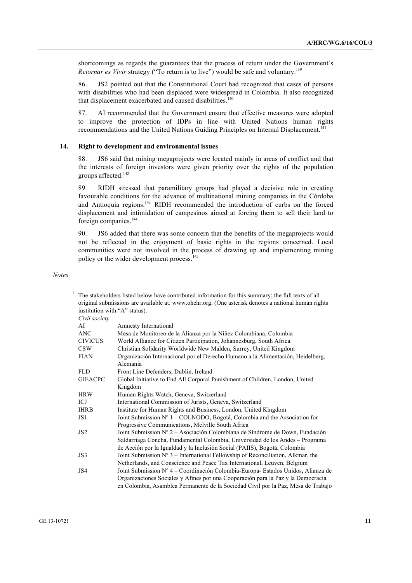shortcomings as regards the guarantees that the process of return under the Government's *Retornar es Vivir* strategy ("To return is to live") would be safe and voluntary.<sup>139</sup>

86. JS2 pointed out that the Constitutional Court had recognized that cases of persons with disabilities who had been displaced were widespread in Colombia. It also recognized that displacement exacerbated and caused disabilities.<sup>140</sup>

87. AI recommended that the Government ensure that effective measures were adopted to improve the protection of IDPs in line with United Nations human rights recommendations and the United Nations Guiding Principles on Internal Displacement.<sup>141</sup>

#### **14. Right to development and environmental issues**

88. JS6 said that mining megaprojects were located mainly in areas of conflict and that the interests of foreign investors were given priority over the rights of the population groups affected.<sup>142</sup>

89. RIDH stressed that paramilitary groups had played a decisive role in creating favourable conditions for the advance of multinational mining companies in the Córdoba and Antioquia regions.143 RIDH recommended the introduction of curbs on the forced displacement and intimidation of campesinos aimed at forcing them to sell their land to foreign companies.<sup>144</sup>

90. JS6 added that there was some concern that the benefits of the megaprojects would not be reflected in the enjoyment of basic rights in the regions concerned. Local communities were not involved in the process of drawing up and implementing mining policy or the wider development process.<sup>145</sup>

*Notes*

| <sup>1</sup> The stakeholders listed below have contributed information for this summary; the full texts of all |
|-----------------------------------------------------------------------------------------------------------------|
| original submissions are available at: www.ohchr.org. (One asterisk denotes a national human rights             |
| institution with "A" status).                                                                                   |
| Civil society                                                                                                   |

| AI             | Amnesty International                                                                       |
|----------------|---------------------------------------------------------------------------------------------|
| ANC            | Mesa de Monitoreo de la Alianza por la Niñez Colombiana, Colombia                           |
| <b>CIVICUS</b> | World Alliance for Citizen Participation, Johannesburg, South Africa                        |
| CSW            | Christian Solidarity Worldwide New Malden, Surrey, United Kingdom                           |
| FIAN           | Organización Internacional por el Derecho Humano a la Alimentación, Heidelberg,<br>Alemania |
| FLD            | Front Line Defenders, Dublin, Ireland                                                       |
| <b>GIEACPC</b> | Global Initiative to End All Corporal Punishment of Children, London, United<br>Kingdom     |
| HRW            | Human Rights Watch, Geneva, Switzerland                                                     |
| IСJ            | International Commission of Jurists, Geneva, Switzerland                                    |
| IHRB           | Institute for Human Rights and Business, London, United Kingdom                             |
| JS 1           | Joint Submission $N^{\circ}$ 1 – COLNODO, Bogotá, Colombia and the Association for          |
|                | Progressive Communications, Melville South Africa                                           |
| JS2            | Joint Submission Nº 2 - Asociación Colombiana de Síndrome de Down, Fundación                |
|                | Saldarriaga Concha, Fundamental Colombia, Universidad de los Andes – Programa               |
|                | de Acción por la Igualdad y la Inclusión Social (PAIIS), Bogotá, Colombia                   |
| JS3            | Joint Submission $N^{\circ}$ 3 – International Fellowship of Reconciliation, Alkmar, the    |
|                | Netherlands, and Conscience and Peace Tax International, Leuven, Belgium                    |
| JS4            | Joint Submission Nº 4 – Coordinación Colombia-Europa- Estados Unidos, Alianza de            |
|                | Organizaciones Sociales y Afines por una Cooperación para la Paz y la Democracia            |
|                | en Colombia, Asamblea Permanente de la Sociedad Civil por la Paz, Mesa de Trabajo           |
|                |                                                                                             |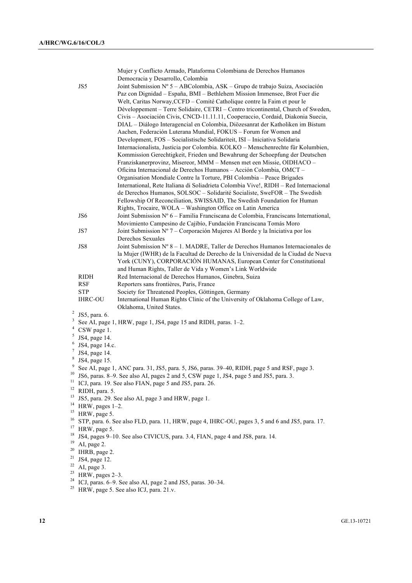Mujer y Conflicto Armado, Plataforma Colombiana de Derechos Humanos Democracia y Desarrollo, Colombia

|                | JS5                                                                                          | Joint Submission Nº 5 – ABColombia, ASK – Grupo de trabajo Suiza, Asociación                    |  |  |  |
|----------------|----------------------------------------------------------------------------------------------|-------------------------------------------------------------------------------------------------|--|--|--|
|                |                                                                                              | Paz con Dignidad – España, BMI – Bethlehem Mission Immensee, Brot Fuer die                      |  |  |  |
|                |                                                                                              | Welt, Caritas Norway, CCFD - Comité Catholique contre la Faim et pour le                        |  |  |  |
|                |                                                                                              | Développement - Terre Solidaire, CETRI - Centro tricontinental, Church of Sweden,               |  |  |  |
|                |                                                                                              | Civis - Asociación Civis, CNCD-11.11.11, Cooperaccio, Cordaid, Diakonia Suecia,                 |  |  |  |
|                |                                                                                              | DIAL - Diálogo Interagencial en Colombia, Diözesanrat der Katholiken im Bistum                  |  |  |  |
|                |                                                                                              | Aachen, Federación Luterana Mundial, FOKUS - Forum for Women and                                |  |  |  |
|                |                                                                                              |                                                                                                 |  |  |  |
|                |                                                                                              | Development, FOS - Socialistische Solidariteit, ISI - Iniciativa Solidaria                      |  |  |  |
|                |                                                                                              | Internacionalista, Justicia por Colombia. KOLKO - Menschenrechte für Kolumbien,                 |  |  |  |
|                |                                                                                              | Kommission Gerechtigkeit, Frieden und Bewahrung der Schoepfung der Deutschen                    |  |  |  |
|                |                                                                                              | Franziskanerprovinz, Misereor, MMM - Mensen met een Missie, OIDHACO -                           |  |  |  |
|                |                                                                                              | Oficina Internacional de Derechos Humanos - Acción Colombia, OMCT -                             |  |  |  |
|                |                                                                                              | Organisation Mondiale Contre la Torture, PBI Colombia - Peace Brigades                          |  |  |  |
|                |                                                                                              | International, Rete Italiana di Soliadrieta Colombia Vive!, RIDH - Red Internacional            |  |  |  |
|                |                                                                                              | de Derechos Humanos, SOLSOC - Solidarité Socialiste, SweFOR - The Swedish                       |  |  |  |
|                |                                                                                              | Fellowship Of Reconciliation, SWISSAID, The Swedish Foundation for Human                        |  |  |  |
|                |                                                                                              | Rights, Trocaire, WOLA - Washington Office on Latin America                                     |  |  |  |
|                | JS6                                                                                          | Joint Submission Nº 6 - Familia Franciscana de Colombia, Franciscans International,             |  |  |  |
|                |                                                                                              | Movimiento Campesino de Cajibío, Fundación Franciscana Tomás Moro                               |  |  |  |
|                | JS7                                                                                          | Joint Submission Nº 7 – Corporación Mujeres Al Borde y la Iniciativa por los                    |  |  |  |
|                |                                                                                              | Derechos Sexuales                                                                               |  |  |  |
|                |                                                                                              |                                                                                                 |  |  |  |
|                | JS8                                                                                          | Joint Submission Nº 8 - 1. MADRE, Taller de Derechos Humanos Internacionales de                 |  |  |  |
|                |                                                                                              | la Mujer (IWHR) de la Facultad de Derecho de la Universidad de la Ciudad de Nueva               |  |  |  |
|                |                                                                                              | York (CUNY), CORPORACIÓN HUMANAS, European Center for Constitutional                            |  |  |  |
|                |                                                                                              | and Human Rights, Taller de Vida y Women's Link Worldwide                                       |  |  |  |
|                | RIDH                                                                                         | Red Internacional de Derechos Humanos, Ginebra, Suiza                                           |  |  |  |
|                | <b>RSF</b>                                                                                   | Reporters sans frontières, Paris, France                                                        |  |  |  |
|                | <b>STP</b>                                                                                   | Society for Threatened Peoples, Göttingen, Germany                                              |  |  |  |
|                | <b>IHRC-OU</b>                                                                               | International Human Rights Clinic of the University of Oklahoma College of Law,                 |  |  |  |
|                |                                                                                              | Oklahoma, United States.                                                                        |  |  |  |
| $\overline{2}$ | JS5, para. 6.                                                                                |                                                                                                 |  |  |  |
| 3              | See AI, page 1, HRW, page 1, JS4, page 15 and RIDH, paras. 1-2.                              |                                                                                                 |  |  |  |
| 4              | CSW page 1.                                                                                  |                                                                                                 |  |  |  |
| 5              | JS4, page 14.                                                                                |                                                                                                 |  |  |  |
| 6              | JS4, page 14.c.                                                                              |                                                                                                 |  |  |  |
| $\tau$         | JS4, page 14.                                                                                |                                                                                                 |  |  |  |
| 8              | JS4, page 15.                                                                                |                                                                                                 |  |  |  |
| 9              | See AI, page 1, ANC para. 31, JS5, para. 5, JS6, paras. 39–40, RIDH, page 5 and RSF, page 3. |                                                                                                 |  |  |  |
| 10             | JS6, paras. 8-9. See also AI, pages 2 and 5, CSW page 1, JS4, page 5 and JS5, para. 3.       |                                                                                                 |  |  |  |
| 11             | ICJ, para. 19. See also FIAN, page 5 and JS5, para. 26.                                      |                                                                                                 |  |  |  |
| 12             |                                                                                              |                                                                                                 |  |  |  |
| 13             | RIDH, para. 5.                                                                               |                                                                                                 |  |  |  |
| 14             | JS5, para. 29. See also AI, page 3 and HRW, page 1.                                          |                                                                                                 |  |  |  |
| 15             | HRW, pages 1-2.                                                                              |                                                                                                 |  |  |  |
| 16             | HRW, page 5.                                                                                 |                                                                                                 |  |  |  |
| 17             |                                                                                              | STP, para. 6. See also FLD, para. 11, HRW, page 4, IHRC-OU, pages 3, 5 and 6 and JS5, para. 17. |  |  |  |
|                | HRW, page 5.                                                                                 |                                                                                                 |  |  |  |
| 18             | JS4, pages 9-10. See also CIVICUS, para. 3.4, FIAN, page 4 and JS8, para. 14.                |                                                                                                 |  |  |  |
| 19             | AI, page 2.                                                                                  |                                                                                                 |  |  |  |
| 20             | IHRB, page 2.                                                                                |                                                                                                 |  |  |  |
| 21             | JS4, page 12.                                                                                |                                                                                                 |  |  |  |
| 22             | AI, page 3.                                                                                  |                                                                                                 |  |  |  |
| 23             | HRW, pages 2-3.                                                                              |                                                                                                 |  |  |  |
|                |                                                                                              |                                                                                                 |  |  |  |

- <sup>24</sup> ICJ, paras.  $6-9$ . See also AI, page 2 and JS5, paras.  $30-34$ .
- <sup>25</sup> HRW, page 5. See also ICJ, para.  $21.v$ .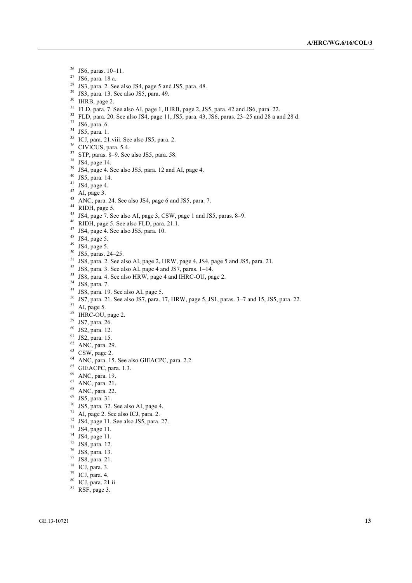- $^{26}$  JS6, paras. 10–11.<br><sup>27</sup> JS6 para 18.3
- JS6, para. 18 a.
- JS3, para. 2. See also JS4, page 5 and JS5, para. 48.
- JS3, para. 13. See also JS5, para. 49.
- IHRB, page 2.
- FLD, para. 7. See also AI, page 1, IHRB, page 2, JS5, para. 42 and JS6, para. 22.
- FLD, para. 20. See also JS4, page 11, JS5, para. 43, JS6, paras. 23–25 and 28 a and 28 d.
- JS6, para. 6.
- JS5, para. 1.
- ICJ, para. 21.viii. See also JS5, para. 2.
- <sup>36</sup> CIVICUS, para. 5.4.
- STP, paras. 8–9. See also JS5, para. 58.
- JS4, page 14.
- JS4, page 4. See also JS5, para. 12 and AI, page 4.
- JS5, para. 14.
- JS4, page 4.
- AI, page 3.
- ANC, para. 24. See also JS4, page 6 and JS5, para. 7.
- RIDH, page 5.
- JS4, page 7. See also AI, page 3, CSW, page 1 and JS5, paras. 8–9.
- $^{46}$  RIDH, page 5. See also FLD, para. 21.1.
- JS4, page 4. See also JS5, para. 10.
- JS4, page 5.
- JS4, page 5.
- JS5, paras. 24–25.
- JS8, para. 2. See also AI, page 2, HRW, page 4, JS4, page 5 and JS5, para. 21.
- JS8, para. 3. See also AI, page 4 and JS7, paras. 1–14.
- JS8, para. 4. See also HRW, page 4 and IHRC-OU, page 2.
- $54 \text{ JSS}, \text{para}. 7.$
- JS8, para. 19. See also AI, page 5.
- JS7, para. 21. See also JS7, para. 17, HRW, page 5, JS1, paras. 3–7 and 15, JS5, para. 22.
- AI, page 5.
- <sup>58</sup> IHRC-OU, page 2.
- JS7, para. 26.
- JS2, para. 12.
- JS2, para. 15.
- ANC, para. 29.
- CSW, page 2.
- ANC, para. 15. See also GIEACPC, para. 2.2.
- <sup>65</sup> GIEACPC, para. 1.3.
- ANC, para. 19.
- ANC, para. 21.
- ANC, para. 22.
- JS5, para. 31.
- JS5, para. 32. See also AI, page 4.
- AI, page 2. See also ICJ, para. 2.
- JS4, page 11. See also JS5, para. 27.
- JS4, page 11.
- JS4, page 11.
- JS8, para. 12.
- JS8, para. 13.
- JS8, para. 21.
- ICJ, para. 3.
- 
- ICJ, para. 4.
- ICJ, para. 21.ii.
- RSF, page 3.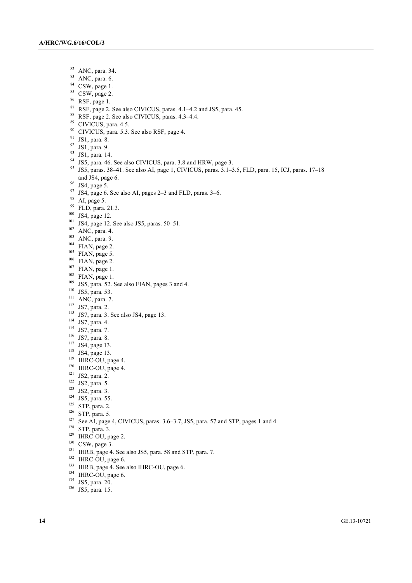- ANC, para. 34.
- ANC, para. 6.
- CSW, page 1.
- CSW, page 2.
- RSF, page 1.
- RSF, page 2. See also CIVICUS, paras. 4.1–4.2 and JS5, para. 45.
- RSF, page 2. See also CIVICUS, paras. 4.3–4.4.
- CIVICUS, para. 4.5.
- CIVICUS, para. 5.3. See also RSF, page 4.
- JS1, para. 8.
- JS1, para. 9.
- JS1, para. 14.
- JS5, para. 46. See also CIVICUS, para. 3.8 and HRW, page 3.
- JS5, paras. 38–41. See also AI, page 1, CIVICUS, paras. 3.1–3.5, FLD, para. 15, ICJ, paras. 17–18 and JS4, page 6.
- JS4, page 5.
- JS4, page 6. See also AI, pages 2–3 and FLD, paras. 3–6.
- AI, page 5.
- FLD, para. 21.3.
- JS4, page 12.
- JS4, page 12. See also JS5, paras. 50–51.
- ANC, para. 4.
- ANC, para. 9.
- FIAN, page 2.
- $^{105}$  FIAN, page 5.
- FIAN, page 2.
- FIAN, page 1.
- FIAN, page 1.
- JS5, para. 52. See also FIAN, pages 3 and 4.
- JS5, para. 53.
- ANC, para. 7.
- JS7, para. 2.
- JS7, para. 3. See also JS4, page 13.
- JS7, para. 4.
- JS7, para. 7.
- JS7, para. 8.
- $^{117}$  JS4, page 13.
- <sup>118</sup> JS4, page 13.
- <sup>119</sup> IHRC-OU, page 4.
- IHRC-OU, page 4.
- JS2, para. 2.
- JS2, para. 5.
- JS2, para. 3.
- JS5, para. 55.
- STP, para. 2.
- STP, para. 5.
- 
- See AI, page 4, CIVICUS, paras. 3.6–3.7, JS5, para. 57 and STP, pages 1 and 4.
- STP, para. 3.
- <sup>129</sup> IHRC-OU, page 2.
- CSW, page 3.
- <sup>131</sup> IHRB, page 4. See also JS5, para. 58 and STP, para. 7.
- <sup>132</sup> IHRC-OU, page 6.
- <sup>133</sup> IHRB, page 4. See also IHRC-OU, page 6.
- IHRC-OU, page 6.
- <sup>135</sup> JS5, para. 20.
- JS5, para. 15.